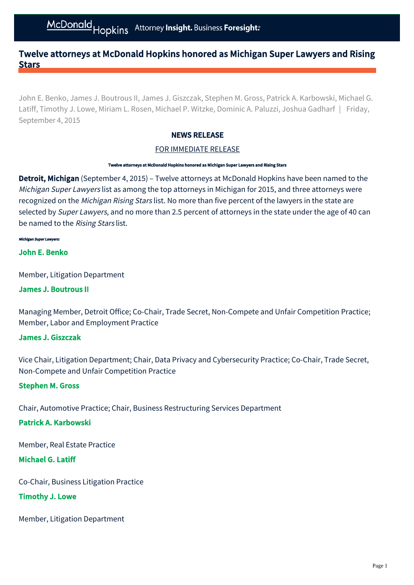# Twelve attorneys at McDonald Hopkins honored as Michigan Super Lawyers and Rising **Stars**

John E. Benko, James J. Boutrous II, James J. Giszczak, Stephen M. Gross, Patrick A. Karbowski, Michael G. Latiff, Timothy J. Lowe, Miriam L. Rosen, Michael P. Witzke, Dominic A. Paluzzi, Joshua Gadharf | Friday, September 4, 2015

## NEWS RELEASE

## FOR IMMEDIATE RELEASE

#### Twelve attorneys at McDonald Hopkins honored as Michigan Super Lawyers and Rising Stars

Detroit, Michigan (September 4, 2015) – Twelve attorneys at McDonald Hopkins have been named to the Michigan Super Lawyers list as among the top attorneys in Michigan for 2015, and three attorneys were recognized on the Michigan Rising Stars list. No more than five percent of the lawyers in the state are selected by Super Lawyers, and no more than 2.5 percent of attorneys in the state under the age of 40 can be named to the Rising Stars list.

#### Michigan Super Lawyers:

### [John E. Benko](http://www.mcdonaldhopkins.com/attorney/john-e-benko)

Member, Litigation Department

### [James J. Boutrous II](http://www.mcdonaldhopkins.com/attorney/james-j-boutrous)

Managing Member, Detroit Office; Co-Chair, Trade Secret, Non-Compete and Unfair Competition Practice; Member, Labor and Employment Practice

### [James J. Giszczak](http://www.mcdonaldhopkins.com/attorney/james-j-giszczak)

Vice Chair, Litigation Department; Chair, Data Privacy and Cybersecurity Practice; Co-Chair, Trade Secret, Non-Compete and Unfair Competition Practice

### [Stephen M. Gross](http://www.mcdonaldhopkins.com/attorney/stephen-m-gross)

Chair, Automotive Practice; Chair, Business Restructuring Services Department

## [Patrick A. Karbowski](http://www.mcdonaldhopkins.com/attorney/patrick-a-karbowski)

Member, Real Estate Practice

### [Michael G. Latiff](http://www.mcdonaldhopkins.com/attorney/michael-g-latiff)

Co-Chair, Business Litigation Practice

### [Timothy J. Lowe](http://www.mcdonaldhopkins.com/attorney/timothy-j-lowe)

Member, Litigation Department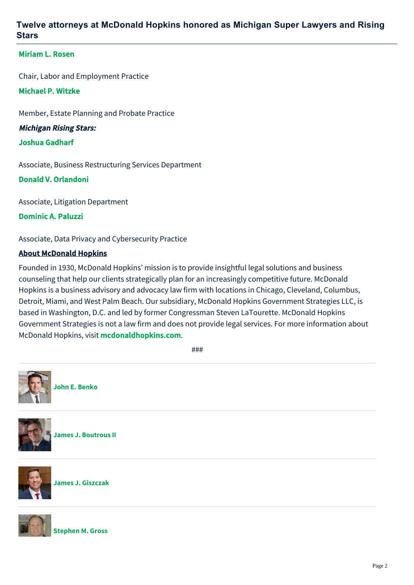# **Twelve attorneys at McDonald Hopkins honored as Michigan Super Lawyers and Rising Stars**

## [Miriam L. Rosen](http://www.mcdonaldhopkins.com/attorney/miriam-l-rosen)

Chair, Labor and Employment Practice

## [Michael P. Witzke](http://www.mcdonaldhopkins.com/attorney/michael-p-witzke)

Member, Estate Planning and Probate Practice

Michigan Rising Stars:

## [Joshua Gadharf](http://www.mcdonaldhopkins.com/attorney/joshua-gadharf)

Associate, Business Restructuring Services Department

## [Donald V. Orlandoni](http://www.mcdonaldhopkins.com/attorney/donald-v-orlandoni)

Associate, Litigation Department

[Dominic A. Paluzzi](http://www.mcdonaldhopkins.com/attorney/dominic-a-paluzzi)

Associate, Data Privacy and Cybersecurity Practice

## About McDonald Hopkins

Founded in 1930, McDonald Hopkins' mission is to provide insightful legal solutions and business counseling that help our clients strategically plan for an increasingly competitive future. McDonald Hopkins is a business advisory and advocacy law firm with locations in Chicago, Cleveland, Columbus, Detroit, Miami, and West Palm Beach. Our subsidiary, McDonald Hopkins Government Strategies LLC, is based in Washington, D.C. and led by former Congressman Steven LaTourette. McDonald Hopkins Government Strategies is not a law firm and does not provide legal services. For more information about McDonald Hopkins, visit [mcdonaldhopkins.com](http://www.mcdonaldhopkins.com/).